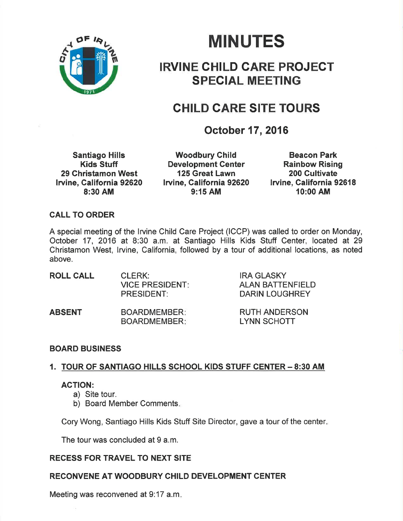

# MINUTES

# IRVINE GHILD GARE PROJEGT SPECIAL MEETING

# CHILD CARE SITE TOURS

# October 17, 2016

Santiago Hills Kids Stuff 29 Ghristamon West Iruine, Galifornia 92620 8:30 AM

Woodbury Child Development Center 125 Great Lawn lruine, California 92620 9:15 AM

Beacon Park Rainbow Rising 200 Cultivate Irvine, California 92618 10:00 AM

### CALL TO ORDER

A special meeting of the lrvine Child Care Project (ICCP) was called to order on Monday, October 17, 2016 at 8:30 a.m. at Santiago Hills Kids Stuff Center, located at <sup>29</sup> Christamon West, lrvine, California, followed by a tour of additional locations, as noted above.

| <b>ROLL CALL</b> | CLERK:<br><b>VICE PRESIDENT:</b><br><b>PRESIDENT:</b> | <b>IRA GLASKY</b><br><b>ALAN BATTENFIELD</b><br><b>DARIN LOUGHREY</b> |
|------------------|-------------------------------------------------------|-----------------------------------------------------------------------|
|                  |                                                       |                                                                       |

ABSENT BOARDMEMBER BOARDMEMBER RUTH ANDERSON LYNN SCHOTT

# BOARD BUSINESS

# 1. TOUR OF SANTIAGO HILLS SCHOOL KIDS STUFF CENTER - 8:30 AM

### ACTION:

- a) Site tour.
- b) Board Member Comments

Cory Wong, Santiago Hills Kids Stuff Site Director, gave a tour of the center

The tour was concluded at 9 a.m.

# RECESS FOR TRAVEL TO NEXT SITE

# RECONVENE AT WOODBURY CHILD DEVELOPMENT CENTER

Meeting was reconvened at 9:17 a.m